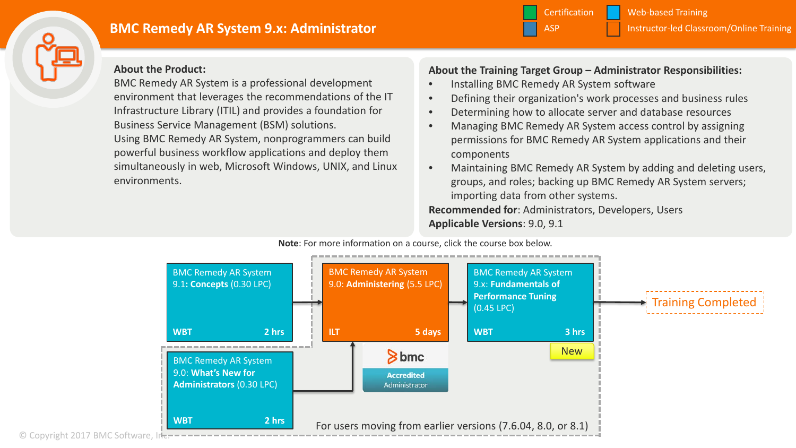

# **BMC Remedy AR System 9.x: Administrator** International Classroom Conline Training

**About the Product:**

BMC Remedy AR System is a professional development environment that leverages the recommendations of the IT Infrastructure Library (ITIL) and provides a foundation for Business Service Management (BSM) solutions. Using BMC Remedy AR System, nonprogrammers can build powerful business workflow applications and deploy them simultaneously in web, Microsoft Windows, UNIX, and Linux environments.

#### **About the Training Target Group – Administrator Responsibilities:**

**Certification** 

• Installing BMC Remedy AR System software

ASP

• Defining their organization's work processes and business rules

Instructor-led Classroom/Online Training

Web-based Training

- Determining how to allocate server and database resources
- Managing BMC Remedy AR System access control by assigning permissions for BMC Remedy AR System applications and their components
- Maintaining BMC Remedy AR System by adding and deleting users, groups, and roles; backing up BMC Remedy AR System servers; importing data from other systems.

**Recommended for**: Administrators, Developers, Users **Applicable Versions**: 9.0, 9.1

**Note**: For more information on a course, click the course box below.



© Copyright 2017 BMC Software, Inc.